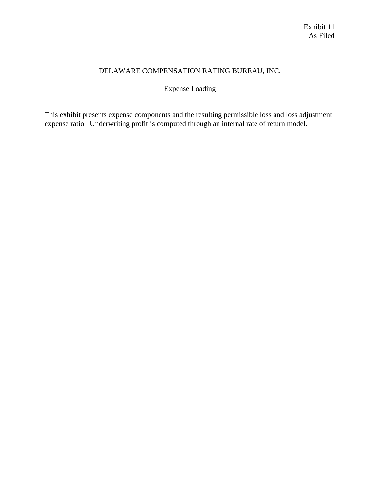# DELAWARE COMPENSATION RATING BUREAU, INC.

# Expense Loading

This exhibit presents expense components and the resulting permissible loss and loss adjustment expense ratio. Underwriting profit is computed through an internal rate of return model.